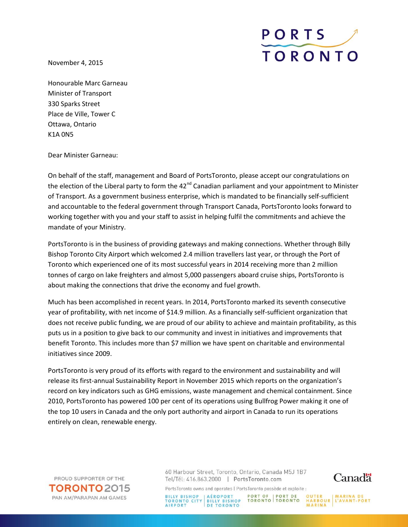November 4, 2015



Honourable Marc Garneau Minister of Transport 330 Sparks Street Place de Ville, Tower C Ottawa, Ontario K1A 0N5

Dear Minister Garneau:

On behalf of the staff, management and Board of PortsToronto, please accept our congratulations on the election of the Liberal party to form the 42<sup>nd</sup> Canadian parliament and your appointment to Minister of Transport. As a government business enterprise, which is mandated to be financially self-sufficient and accountable to the federal government through Transport Canada, PortsToronto looks forward to working together with you and your staff to assist in helping fulfil the commitments and achieve the mandate of your Ministry.

PortsToronto is in the business of providing gateways and making connections. Whether through Billy Bishop Toronto City Airport which welcomed 2.4 million travellers last year, or through the Port of Toronto which experienced one of its most successful years in 2014 receiving more than 2 million tonnes of cargo on lake freighters and almost 5,000 passengers aboard cruise ships, PortsToronto is about making the connections that drive the economy and fuel growth.

Much has been accomplished in recent years. In 2014, PortsToronto marked its seventh consecutive year of profitability, with net income of \$14.9 million. As a financially self-sufficient organization that does not receive public funding, we are proud of our ability to achieve and maintain profitability, as this puts us in a position to give back to our community and invest in initiatives and improvements that benefit Toronto. This includes more than \$7 million we have spent on charitable and environmental initiatives since 2009.

PortsToronto is very proud of its efforts with regard to the environment and sustainability and will release its first-annual Sustainability Report in November 2015 which reports on the organization's record on key indicators such as GHG emissions, waste management and chemical containment. Since 2010, PortsToronto has powered 100 per cent of its operations using Bullfrog Power making it one of the top 10 users in Canada and the only port authority and airport in Canada to run its operations entirely on clean, renewable energy.

PROUD SUPPORTER OF THE **TORONTO** 2015 PAN AM/PARAPAN AM GAMES

60 Harbour Street, Toronto, Ontario, Canada M5J 1B7 Tel/Tél: 416.863.2000 | PortsToronto.com



PortsToronto owns and operates | PortsToronto possède et exploite :

BILLY BISHOP | AÉROPORT | PORT OF | PORT DE | OUTER | MARINA DE TORONTO | BILLY BISHOP | TORONTO | TORONTO | HARBOUR | L'AVANT-PORT | ALESANTO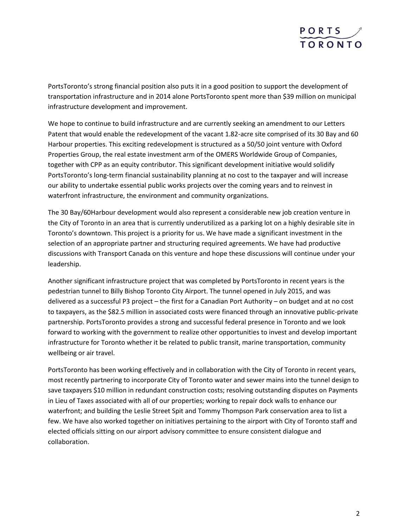

PortsToronto's strong financial position also puts it in a good position to support the development of transportation infrastructure and in 2014 alone PortsToronto spent more than \$39 million on municipal infrastructure development and improvement.

We hope to continue to build infrastructure and are currently seeking an amendment to our Letters Patent that would enable the redevelopment of the vacant 1.82-acre site comprised of its 30 Bay and 60 Harbour properties. This exciting redevelopment is structured as a 50/50 joint venture with Oxford Properties Group, the real estate investment arm of the OMERS Worldwide Group of Companies, together with CPP as an equity contributor. This significant development initiative would solidify PortsToronto's long-term financial sustainability planning at no cost to the taxpayer and will increase our ability to undertake essential public works projects over the coming years and to reinvest in waterfront infrastructure, the environment and community organizations.

The 30 Bay/60Harbour development would also represent a considerable new job creation venture in the City of Toronto in an area that is currently underutilized as a parking lot on a highly desirable site in Toronto's downtown. This project is a priority for us. We have made a significant investment in the selection of an appropriate partner and structuring required agreements. We have had productive discussions with Transport Canada on this venture and hope these discussions will continue under your leadership.

Another significant infrastructure project that was completed by PortsToronto in recent years is the pedestrian tunnel to Billy Bishop Toronto City Airport. The tunnel opened in July 2015, and was delivered as a successful P3 project – the first for a Canadian Port Authority – on budget and at no cost to taxpayers, as the \$82.5 million in associated costs were financed through an innovative public-private partnership. PortsToronto provides a strong and successful federal presence in Toronto and we look forward to working with the government to realize other opportunities to invest and develop important infrastructure for Toronto whether it be related to public transit, marine transportation, community wellbeing or air travel.

PortsToronto has been working effectively and in collaboration with the City of Toronto in recent years, most recently partnering to incorporate City of Toronto water and sewer mains into the tunnel design to save taxpayers \$10 million in redundant construction costs; resolving outstanding disputes on Payments in Lieu of Taxes associated with all of our properties; working to repair dock walls to enhance our waterfront; and building the Leslie Street Spit and Tommy Thompson Park conservation area to list a few. We have also worked together on initiatives pertaining to the airport with City of Toronto staff and elected officials sitting on our airport advisory committee to ensure consistent dialogue and collaboration.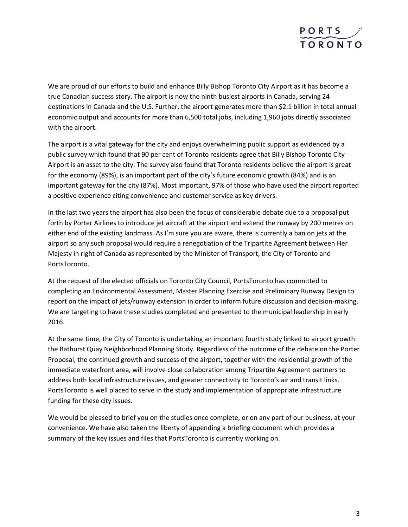

We are proud of our efforts to build and enhance Billy Bishop Toronto City Airport as it has become a true Canadian success story. The airport is now the ninth busiest airports in Canada, serving 24 destinations in Canada and the U.S. Further, the airport generates more than \$2.1 billion in total annual economic output and accounts for more than 6,500 total jobs, including 1,960 jobs directly associated with the airport.

The airport is a vital gateway for the city and enjoys overwhelming public support as evidenced by a public survey which found that 90 per cent of Toronto residents agree that Billy Bishop Toronto City Airport is an asset to the city. The survey also found that Toronto residents believe the airport is great for the economy (89%), is an important part of the city's future economic growth (84%) and is an important gateway for the city (87%). Most important, 97% of those who have used the airport reported a positive experience citing convenience and customer service as key drivers.

In the last two years the airport has also been the focus of considerable debate due to a proposal put forth by Porter Airlines to introduce jet aircraft at the airport and extend the runway by 200 metres on either end of the existing landmass. As I'm sure you are aware, there is currently a ban on jets at the airport so any such proposal would require a renegotiation of the Tripartite Agreement between Her Majesty in right of Canada as represented by the Minister of Transport, the City of Toronto and PortsToronto.

At the request of the elected officials on Toronto City Council, PortsToronto has committed to completing an Environmental Assessment, Master Planning Exercise and Preliminary Runway Design to report on the impact of jets/runway extension in order to inform future discussion and decision-making. We are targeting to have these studies completed and presented to the municipal leadership in early 2016.

At the same time, the City of Toronto is undertaking an important fourth study linked to airport growth: the Bathurst Quay Neighborhood Planning Study. Regardless of the outcome of the debate on the Porter Proposal, the continued growth and success of the airport, together with the residential growth of the immediate waterfront area, will involve close collaboration among Tripartite Agreement partners to address both local infrastructure issues, and greater connectivity to Toronto's air and transit links. PortsToronto is well placed to serve in the study and implementation of appropriate infrastructure funding for these city issues.

We would be pleased to brief you on the studies once complete, or on any part of our business, at your convenience. We have also taken the liberty of appending a briefing document which provides a summary of the key issues and files that PortsToronto is currently working on.